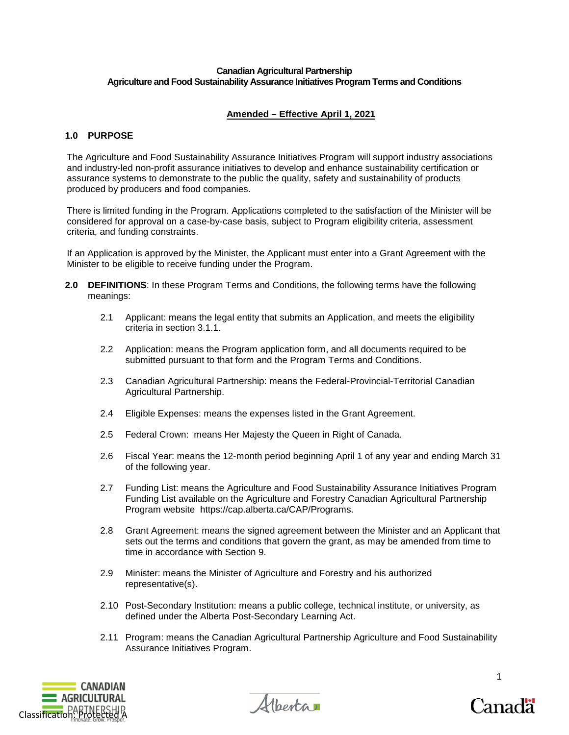### **Canadian Agricultural Partnership Agriculture and Food Sustainability Assurance Initiatives Program Terms and Conditions**

# **Amended – Effective April 1, 2021**

# **1.0 PURPOSE**

The Agriculture and Food Sustainability Assurance Initiatives Program will support industry associations and industry-led non-profit assurance initiatives to develop and enhance sustainability certification or assurance systems to demonstrate to the public the quality, safety and sustainability of products produced by producers and food companies.

There is limited funding in the Program. Applications completed to the satisfaction of the Minister will be considered for approval on a case-by-case basis, subject to Program eligibility criteria, assessment criteria, and funding constraints.

If an Application is approved by the Minister, the Applicant must enter into a Grant Agreement with the Minister to be eligible to receive funding under the Program.

- **2.0 DEFINITIONS**: In these Program Terms and Conditions, the following terms have the following meanings:
	- 2.1 Applicant: means the legal entity that submits an Application, and meets the eligibility criteria in section 3.1.1.
	- 2.2 Application: means the Program application form, and all documents required to be submitted pursuant to that form and the Program Terms and Conditions.
	- 2.3 Canadian Agricultural Partnership: means the Federal-Provincial-Territorial Canadian Agricultural Partnership.
	- 2.4 Eligible Expenses: means the expenses listed in the Grant Agreement.
	- 2.5 Federal Crown: means Her Majesty the Queen in Right of Canada.
	- 2.6 Fiscal Year: means the 12-month period beginning April 1 of any year and ending March 31 of the following year.
	- 2.7 Funding List: means the Agriculture and Food Sustainability Assurance Initiatives Program Funding List available on the Agriculture and Forestry Canadian Agricultural Partnership Program website https://cap.alberta.ca/CAP/Programs.
	- 2.8 Grant Agreement: means the signed agreement between the Minister and an Applicant that sets out the terms and conditions that govern the grant, as may be amended from time to time in accordance with Section 9.
	- 2.9 Minister: means the Minister of Agriculture and Forestry and his authorized representative(s).
	- 2.10 Post-Secondary Institution: means a public college, technical institute, or university, as defined under the Alberta Post-Secondary Learning Act.
	- 2.11 Program: means the Canadian Agricultural Partnership Agriculture and Food Sustainability Assurance Initiatives Program.





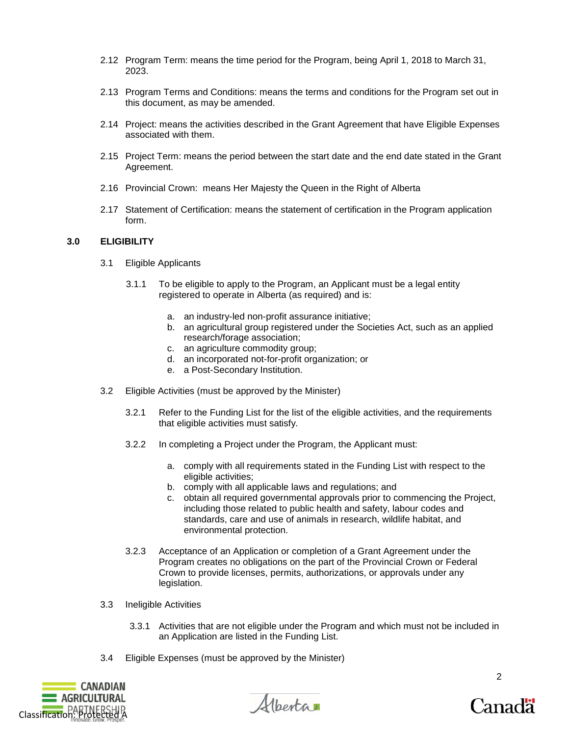- 2.12 Program Term: means the time period for the Program, being April 1, 2018 to March 31, 2023.
- 2.13 Program Terms and Conditions: means the terms and conditions for the Program set out in this document, as may be amended.
- 2.14 Project: means the activities described in the Grant Agreement that have Eligible Expenses associated with them.
- 2.15 Project Term: means the period between the start date and the end date stated in the Grant Agreement.
- 2.16 Provincial Crown: means Her Majesty the Queen in the Right of Alberta
- 2.17 Statement of Certification: means the statement of certification in the Program application form.

## **3.0 ELIGIBILITY**

- 3.1 Eligible Applicants
	- 3.1.1 To be eligible to apply to the Program, an Applicant must be a legal entity registered to operate in Alberta (as required) and is:
		- a. an industry-led non-profit assurance initiative;
		- b. an agricultural group registered under the Societies Act, such as an applied research/forage association;
		- c. an agriculture commodity group;
		- d. an incorporated not-for-profit organization; or
		- e. a Post-Secondary Institution.
- 3.2 Eligible Activities (must be approved by the Minister)
	- 3.2.1 Refer to the Funding List for the list of the eligible activities, and the requirements that eligible activities must satisfy.
	- 3.2.2 In completing a Project under the Program, the Applicant must:
		- a. comply with all requirements stated in the Funding List with respect to the eligible activities;
		- b. comply with all applicable laws and regulations; and
		- c. obtain all required governmental approvals prior to commencing the Project, including those related to public health and safety, labour codes and standards, care and use of animals in research, wildlife habitat, and environmental protection.
	- 3.2.3 Acceptance of an Application or completion of a Grant Agreement under the Program creates no obligations on the part of the Provincial Crown or Federal Crown to provide licenses, permits, authorizations, or approvals under any legislation.
- 3.3 Ineligible Activities
	- 3.3.1 Activities that are not eligible under the Program and which must not be included in an Application are listed in the Funding List.
- 3.4 Eligible Expenses (must be approved by the Minister)





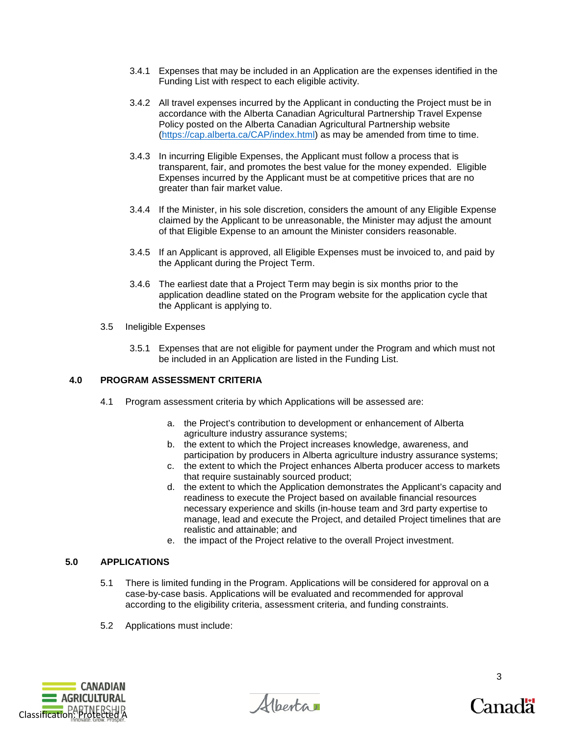- 3.4.1 Expenses that may be included in an Application are the expenses identified in the Funding List with respect to each eligible activity.
- 3.4.2 All travel expenses incurred by the Applicant in conducting the Project must be in accordance with the Alberta Canadian Agricultural Partnership Travel Expense Policy posted on the Alberta Canadian Agricultural Partnership website [\(https://cap.alberta.ca/CAP/index.html\)](https://cap.alberta.ca/CAP/index.html) as may be amended from time to time.
- 3.4.3 In incurring Eligible Expenses, the Applicant must follow a process that is transparent, fair, and promotes the best value for the money expended. Eligible Expenses incurred by the Applicant must be at competitive prices that are no greater than fair market value.
- 3.4.4 If the Minister, in his sole discretion, considers the amount of any Eligible Expense claimed by the Applicant to be unreasonable, the Minister may adjust the amount of that Eligible Expense to an amount the Minister considers reasonable.
- 3.4.5 If an Applicant is approved, all Eligible Expenses must be invoiced to, and paid by the Applicant during the Project Term.
- 3.4.6 The earliest date that a Project Term may begin is six months prior to the application deadline stated on the Program website for the application cycle that the Applicant is applying to.
- 3.5 Ineligible Expenses
	- 3.5.1 Expenses that are not eligible for payment under the Program and which must not be included in an Application are listed in the Funding List.

# **4.0 PROGRAM ASSESSMENT CRITERIA**

- 4.1 Program assessment criteria by which Applications will be assessed are:
	- a. the Project's contribution to development or enhancement of Alberta agriculture industry assurance systems;
	- b. the extent to which the Project increases knowledge, awareness, and participation by producers in Alberta agriculture industry assurance systems;
	- c. the extent to which the Project enhances Alberta producer access to markets that require sustainably sourced product;
	- d. the extent to which the Application demonstrates the Applicant's capacity and readiness to execute the Project based on available financial resources necessary experience and skills (in-house team and 3rd party expertise to manage, lead and execute the Project, and detailed Project timelines that are realistic and attainable; and
	- e. the impact of the Project relative to the overall Project investment.

### **5.0 APPLICATIONS**

- 5.1 There is limited funding in the Program. Applications will be considered for approval on a case-by-case basis. Applications will be evaluated and recommended for approval according to the eligibility criteria, assessment criteria, and funding constraints.
- 5.2 Applications must include:





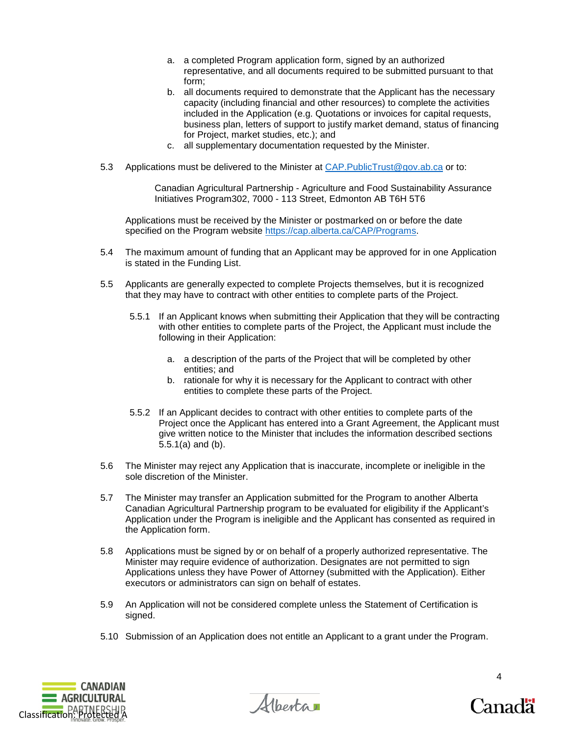- a. a completed Program application form, signed by an authorized representative, and all documents required to be submitted pursuant to that form;
- b. all documents required to demonstrate that the Applicant has the necessary capacity (including financial and other resources) to complete the activities included in the Application (e.g. Quotations or invoices for capital requests, business plan, letters of support to justify market demand, status of financing for Project, market studies, etc.); and
- c. all supplementary documentation requested by the Minister.
- 5.3 Applications must be delivered to the Minister at [CAP.PublicTrust@gov.ab.ca](mailto:CAP.PublicTrust@gov.ab.ca) or to:

Canadian Agricultural Partnership - Agriculture and Food Sustainability Assurance Initiatives Program302, 7000 - 113 Street, Edmonton AB T6H 5T6

Applications must be received by the Minister or postmarked on or before the date specified on the Program website [https://cap.alberta.ca/CAP/Programs.](https://cap.alberta.ca/CAP/Programs)

- 5.4 The maximum amount of funding that an Applicant may be approved for in one Application is stated in the Funding List.
- 5.5 Applicants are generally expected to complete Projects themselves, but it is recognized that they may have to contract with other entities to complete parts of the Project.
	- 5.5.1 If an Applicant knows when submitting their Application that they will be contracting with other entities to complete parts of the Project, the Applicant must include the following in their Application:
		- a. a description of the parts of the Project that will be completed by other entities; and
		- b. rationale for why it is necessary for the Applicant to contract with other entities to complete these parts of the Project.
	- 5.5.2 If an Applicant decides to contract with other entities to complete parts of the Project once the Applicant has entered into a Grant Agreement, the Applicant must give written notice to the Minister that includes the information described sections 5.5.1(a) and (b).
- 5.6 The Minister may reject any Application that is inaccurate, incomplete or ineligible in the sole discretion of the Minister.
- 5.7 The Minister may transfer an Application submitted for the Program to another Alberta Canadian Agricultural Partnership program to be evaluated for eligibility if the Applicant's Application under the Program is ineligible and the Applicant has consented as required in the Application form.
- 5.8 Applications must be signed by or on behalf of a properly authorized representative. The Minister may require evidence of authorization. Designates are not permitted to sign Applications unless they have Power of Attorney (submitted with the Application). Either executors or administrators can sign on behalf of estates.
- 5.9 An Application will not be considered complete unless the Statement of Certification is signed.
- 5.10 Submission of an Application does not entitle an Applicant to a grant under the Program.



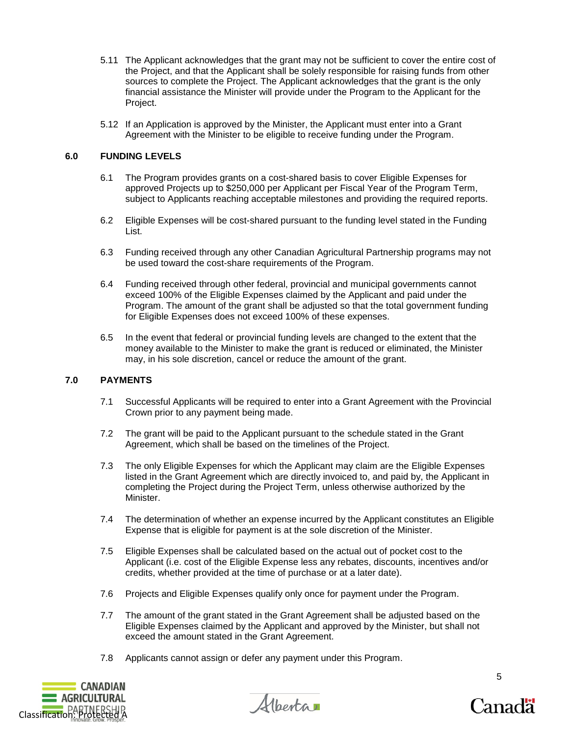- 5.11 The Applicant acknowledges that the grant may not be sufficient to cover the entire cost of the Project, and that the Applicant shall be solely responsible for raising funds from other sources to complete the Project. The Applicant acknowledges that the grant is the only financial assistance the Minister will provide under the Program to the Applicant for the Project.
- 5.12 If an Application is approved by the Minister, the Applicant must enter into a Grant Agreement with the Minister to be eligible to receive funding under the Program.

# **6.0 FUNDING LEVELS**

- 6.1 The Program provides grants on a cost-shared basis to cover Eligible Expenses for approved Projects up to \$250,000 per Applicant per Fiscal Year of the Program Term, subject to Applicants reaching acceptable milestones and providing the required reports.
- 6.2 Eligible Expenses will be cost-shared pursuant to the funding level stated in the Funding List.
- 6.3 Funding received through any other Canadian Agricultural Partnership programs may not be used toward the cost-share requirements of the Program.
- 6.4 Funding received through other federal, provincial and municipal governments cannot exceed 100% of the Eligible Expenses claimed by the Applicant and paid under the Program. The amount of the grant shall be adjusted so that the total government funding for Eligible Expenses does not exceed 100% of these expenses.
- 6.5 In the event that federal or provincial funding levels are changed to the extent that the money available to the Minister to make the grant is reduced or eliminated, the Minister may, in his sole discretion, cancel or reduce the amount of the grant.

# **7.0 PAYMENTS**

- 7.1 Successful Applicants will be required to enter into a Grant Agreement with the Provincial Crown prior to any payment being made.
- 7.2 The grant will be paid to the Applicant pursuant to the schedule stated in the Grant Agreement, which shall be based on the timelines of the Project.
- 7.3 The only Eligible Expenses for which the Applicant may claim are the Eligible Expenses listed in the Grant Agreement which are directly invoiced to, and paid by, the Applicant in completing the Project during the Project Term, unless otherwise authorized by the Minister.
- 7.4 The determination of whether an expense incurred by the Applicant constitutes an Eligible Expense that is eligible for payment is at the sole discretion of the Minister.
- 7.5 Eligible Expenses shall be calculated based on the actual out of pocket cost to the Applicant (i.e. cost of the Eligible Expense less any rebates, discounts, incentives and/or credits, whether provided at the time of purchase or at a later date).
- 7.6 Projects and Eligible Expenses qualify only once for payment under the Program.
- 7.7 The amount of the grant stated in the Grant Agreement shall be adjusted based on the Eligible Expenses claimed by the Applicant and approved by the Minister, but shall not exceed the amount stated in the Grant Agreement.
- 7.8 Applicants cannot assign or defer any payment under this Program.





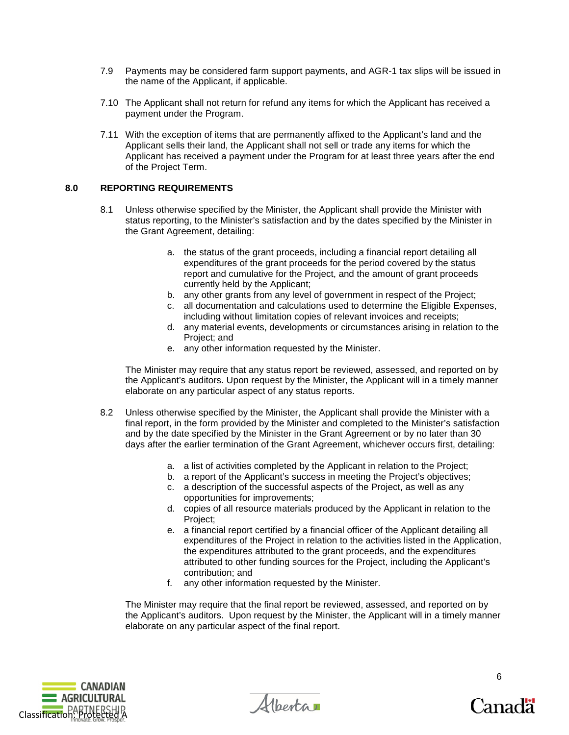- 7.9 Payments may be considered farm support payments, and AGR-1 tax slips will be issued in the name of the Applicant, if applicable.
- 7.10 The Applicant shall not return for refund any items for which the Applicant has received a payment under the Program.
- 7.11 With the exception of items that are permanently affixed to the Applicant's land and the Applicant sells their land, the Applicant shall not sell or trade any items for which the Applicant has received a payment under the Program for at least three years after the end of the Project Term.

### **8.0 REPORTING REQUIREMENTS**

- 8.1 Unless otherwise specified by the Minister, the Applicant shall provide the Minister with status reporting, to the Minister's satisfaction and by the dates specified by the Minister in the Grant Agreement, detailing:
	- a. the status of the grant proceeds, including a financial report detailing all expenditures of the grant proceeds for the period covered by the status report and cumulative for the Project, and the amount of grant proceeds currently held by the Applicant;
	- b. any other grants from any level of government in respect of the Project;
	- c. all documentation and calculations used to determine the Eligible Expenses, including without limitation copies of relevant invoices and receipts;
	- d. any material events, developments or circumstances arising in relation to the Project; and
	- e. any other information requested by the Minister.

The Minister may require that any status report be reviewed, assessed, and reported on by the Applicant's auditors. Upon request by the Minister, the Applicant will in a timely manner elaborate on any particular aspect of any status reports.

- 8.2 Unless otherwise specified by the Minister, the Applicant shall provide the Minister with a final report, in the form provided by the Minister and completed to the Minister's satisfaction and by the date specified by the Minister in the Grant Agreement or by no later than 30 days after the earlier termination of the Grant Agreement, whichever occurs first, detailing:
	- a. a list of activities completed by the Applicant in relation to the Project;
	- b. a report of the Applicant's success in meeting the Project's objectives;
	- c. a description of the successful aspects of the Project, as well as any opportunities for improvements;
	- d. copies of all resource materials produced by the Applicant in relation to the Project;
	- e. a financial report certified by a financial officer of the Applicant detailing all expenditures of the Project in relation to the activities listed in the Application, the expenditures attributed to the grant proceeds, and the expenditures attributed to other funding sources for the Project, including the Applicant's contribution; and
	- f. any other information requested by the Minister.

The Minister may require that the final report be reviewed, assessed, and reported on by the Applicant's auditors. Upon request by the Minister, the Applicant will in a timely manner elaborate on any particular aspect of the final report.





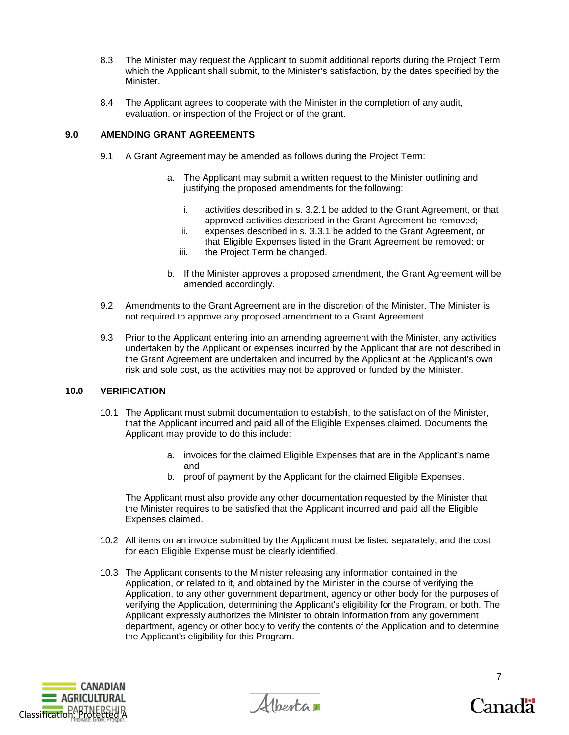- 8.3 The Minister may request the Applicant to submit additional reports during the Project Term which the Applicant shall submit, to the Minister's satisfaction, by the dates specified by the Minister.
- 8.4 The Applicant agrees to cooperate with the Minister in the completion of any audit, evaluation, or inspection of the Project or of the grant.

# **9.0 AMENDING GRANT AGREEMENTS**

- 9.1 A Grant Agreement may be amended as follows during the Project Term:
	- a. The Applicant may submit a written request to the Minister outlining and justifying the proposed amendments for the following:
		- i. activities described in s. 3.2.1 be added to the Grant Agreement, or that approved activities described in the Grant Agreement be removed;
		- ii. expenses described in s. 3.3.1 be added to the Grant Agreement, or that Eligible Expenses listed in the Grant Agreement be removed; or
		- iii. the Project Term be changed.
	- b. If the Minister approves a proposed amendment, the Grant Agreement will be amended accordingly.
- 9.2 Amendments to the Grant Agreement are in the discretion of the Minister. The Minister is not required to approve any proposed amendment to a Grant Agreement.
- 9.3 Prior to the Applicant entering into an amending agreement with the Minister, any activities undertaken by the Applicant or expenses incurred by the Applicant that are not described in the Grant Agreement are undertaken and incurred by the Applicant at the Applicant's own risk and sole cost, as the activities may not be approved or funded by the Minister.

### **10.0 VERIFICATION**

- 10.1 The Applicant must submit documentation to establish, to the satisfaction of the Minister, that the Applicant incurred and paid all of the Eligible Expenses claimed. Documents the Applicant may provide to do this include:
	- a. invoices for the claimed Eligible Expenses that are in the Applicant's name; and
	- b. proof of payment by the Applicant for the claimed Eligible Expenses.

The Applicant must also provide any other documentation requested by the Minister that the Minister requires to be satisfied that the Applicant incurred and paid all the Eligible Expenses claimed.

- 10.2 All items on an invoice submitted by the Applicant must be listed separately, and the cost for each Eligible Expense must be clearly identified.
- 10.3 The Applicant consents to the Minister releasing any information contained in the Application, or related to it, and obtained by the Minister in the course of verifying the Application, to any other government department, agency or other body for the purposes of verifying the Application, determining the Applicant's eligibility for the Program, or both. The Applicant expressly authorizes the Minister to obtain information from any government department, agency or other body to verify the contents of the Application and to determine the Applicant's eligibility for this Program.





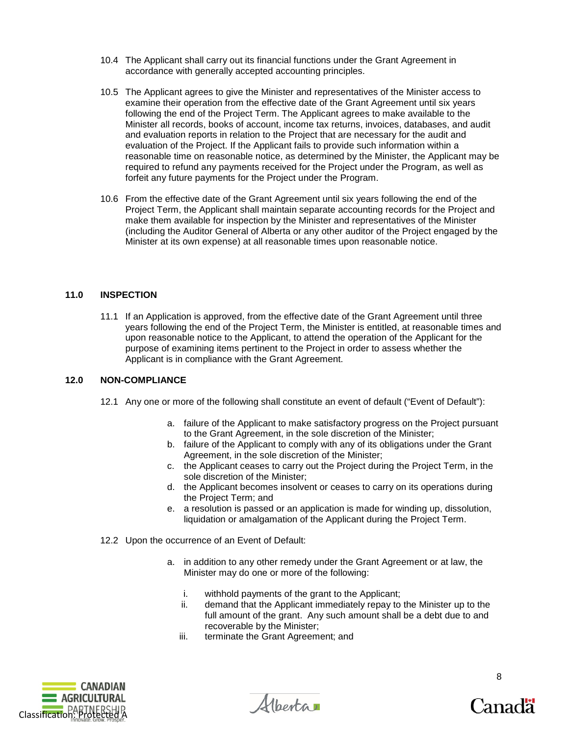- 10.4 The Applicant shall carry out its financial functions under the Grant Agreement in accordance with generally accepted accounting principles.
- 10.5 The Applicant agrees to give the Minister and representatives of the Minister access to examine their operation from the effective date of the Grant Agreement until six years following the end of the Project Term. The Applicant agrees to make available to the Minister all records, books of account, income tax returns, invoices, databases, and audit and evaluation reports in relation to the Project that are necessary for the audit and evaluation of the Project. If the Applicant fails to provide such information within a reasonable time on reasonable notice, as determined by the Minister, the Applicant may be required to refund any payments received for the Project under the Program, as well as forfeit any future payments for the Project under the Program.
- 10.6 From the effective date of the Grant Agreement until six years following the end of the Project Term, the Applicant shall maintain separate accounting records for the Project and make them available for inspection by the Minister and representatives of the Minister (including the Auditor General of Alberta or any other auditor of the Project engaged by the Minister at its own expense) at all reasonable times upon reasonable notice.

## **11.0 INSPECTION**

11.1 If an Application is approved, from the effective date of the Grant Agreement until three years following the end of the Project Term, the Minister is entitled, at reasonable times and upon reasonable notice to the Applicant, to attend the operation of the Applicant for the purpose of examining items pertinent to the Project in order to assess whether the Applicant is in compliance with the Grant Agreement.

### **12.0 NON-COMPLIANCE**

- 12.1 Any one or more of the following shall constitute an event of default ("Event of Default"):
	- a. failure of the Applicant to make satisfactory progress on the Project pursuant to the Grant Agreement, in the sole discretion of the Minister;
	- b. failure of the Applicant to comply with any of its obligations under the Grant Agreement, in the sole discretion of the Minister;
	- c. the Applicant ceases to carry out the Project during the Project Term, in the sole discretion of the Minister;
	- d. the Applicant becomes insolvent or ceases to carry on its operations during the Project Term; and
	- e. a resolution is passed or an application is made for winding up, dissolution, liquidation or amalgamation of the Applicant during the Project Term.
- 12.2 Upon the occurrence of an Event of Default:
	- a. in addition to any other remedy under the Grant Agreement or at law, the Minister may do one or more of the following:
		- i. withhold payments of the grant to the Applicant;
		- ii. demand that the Applicant immediately repay to the Minister up to the full amount of the grant. Any such amount shall be a debt due to and recoverable by the Minister;
		- iii. terminate the Grant Agreement; and





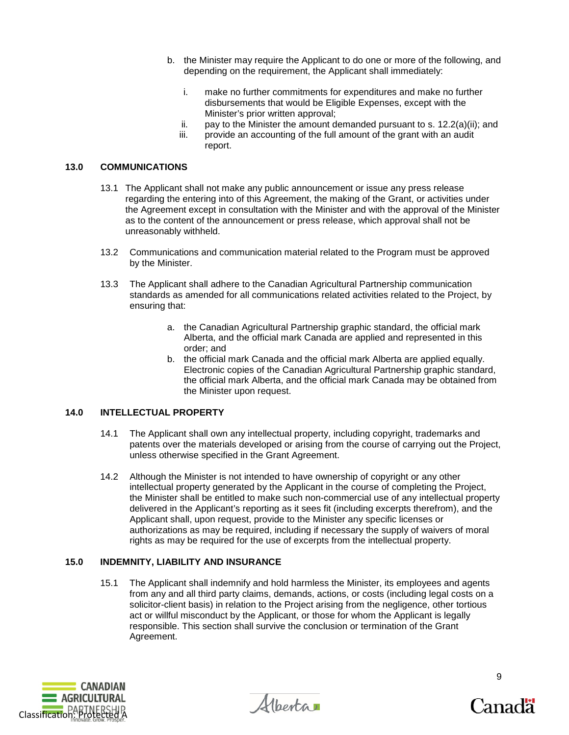- b. the Minister may require the Applicant to do one or more of the following, and depending on the requirement, the Applicant shall immediately:
	- i. make no further commitments for expenditures and make no further disbursements that would be Eligible Expenses, except with the Minister's prior written approval;
	- ii. pay to the Minister the amount demanded pursuant to s.  $12.2(a)(ii)$ ; and
	- iii. provide an accounting of the full amount of the grant with an audit report.

### **13.0 COMMUNICATIONS**

- 13.1 The Applicant shall not make any public announcement or issue any press release regarding the entering into of this Agreement, the making of the Grant, or activities under the Agreement except in consultation with the Minister and with the approval of the Minister as to the content of the announcement or press release, which approval shall not be unreasonably withheld.
- 13.2 Communications and communication material related to the Program must be approved by the Minister.
- 13.3 The Applicant shall adhere to the Canadian Agricultural Partnership communication standards as amended for all communications related activities related to the Project, by ensuring that:
	- a. the Canadian Agricultural Partnership graphic standard, the official mark Alberta, and the official mark Canada are applied and represented in this order; and
	- b. the official mark Canada and the official mark Alberta are applied equally. Electronic copies of the Canadian Agricultural Partnership graphic standard, the official mark Alberta, and the official mark Canada may be obtained from the Minister upon request.

### **14.0 INTELLECTUAL PROPERTY**

- 14.1 The Applicant shall own any intellectual property, including copyright, trademarks and patents over the materials developed or arising from the course of carrying out the Project, unless otherwise specified in the Grant Agreement.
- 14.2 Although the Minister is not intended to have ownership of copyright or any other intellectual property generated by the Applicant in the course of completing the Project, the Minister shall be entitled to make such non-commercial use of any intellectual property delivered in the Applicant's reporting as it sees fit (including excerpts therefrom), and the Applicant shall, upon request, provide to the Minister any specific licenses or authorizations as may be required, including if necessary the supply of waivers of moral rights as may be required for the use of excerpts from the intellectual property.

# **15.0 INDEMNITY, LIABILITY AND INSURANCE**

15.1 The Applicant shall indemnify and hold harmless the Minister, its employees and agents from any and all third party claims, demands, actions, or costs (including legal costs on a solicitor-client basis) in relation to the Project arising from the negligence, other tortious act or willful misconduct by the Applicant, or those for whom the Applicant is legally responsible. This section shall survive the conclusion or termination of the Grant Agreement.



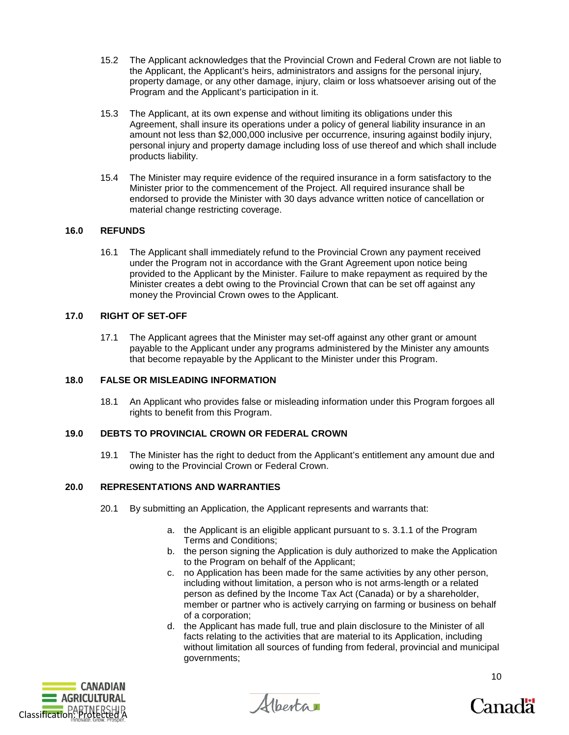- 15.2 The Applicant acknowledges that the Provincial Crown and Federal Crown are not liable to the Applicant, the Applicant's heirs, administrators and assigns for the personal injury, property damage, or any other damage, injury, claim or loss whatsoever arising out of the Program and the Applicant's participation in it.
- 15.3 The Applicant, at its own expense and without limiting its obligations under this Agreement, shall insure its operations under a policy of general liability insurance in an amount not less than \$2,000,000 inclusive per occurrence, insuring against bodily injury, personal injury and property damage including loss of use thereof and which shall include products liability.
- 15.4 The Minister may require evidence of the required insurance in a form satisfactory to the Minister prior to the commencement of the Project. All required insurance shall be endorsed to provide the Minister with 30 days advance written notice of cancellation or material change restricting coverage.

# **16.0 REFUNDS**

16.1 The Applicant shall immediately refund to the Provincial Crown any payment received under the Program not in accordance with the Grant Agreement upon notice being provided to the Applicant by the Minister. Failure to make repayment as required by the Minister creates a debt owing to the Provincial Crown that can be set off against any money the Provincial Crown owes to the Applicant.

# **17.0 RIGHT OF SET-OFF**

17.1 The Applicant agrees that the Minister may set-off against any other grant or amount payable to the Applicant under any programs administered by the Minister any amounts that become repayable by the Applicant to the Minister under this Program.

# **18.0 FALSE OR MISLEADING INFORMATION**

18.1 An Applicant who provides false or misleading information under this Program forgoes all rights to benefit from this Program.

# **19.0 DEBTS TO PROVINCIAL CROWN OR FEDERAL CROWN**

19.1 The Minister has the right to deduct from the Applicant's entitlement any amount due and owing to the Provincial Crown or Federal Crown.

# **20.0 REPRESENTATIONS AND WARRANTIES**

- 20.1 By submitting an Application, the Applicant represents and warrants that:
	- a. the Applicant is an eligible applicant pursuant to s. 3.1.1 of the Program Terms and Conditions;
	- b. the person signing the Application is duly authorized to make the Application to the Program on behalf of the Applicant;
	- c. no Application has been made for the same activities by any other person, including without limitation, a person who is not arms-length or a related person as defined by the Income Tax Act (Canada) or by a shareholder, member or partner who is actively carrying on farming or business on behalf of a corporation;
	- d. the Applicant has made full, true and plain disclosure to the Minister of all facts relating to the activities that are material to its Application, including without limitation all sources of funding from federal, provincial and municipal governments;





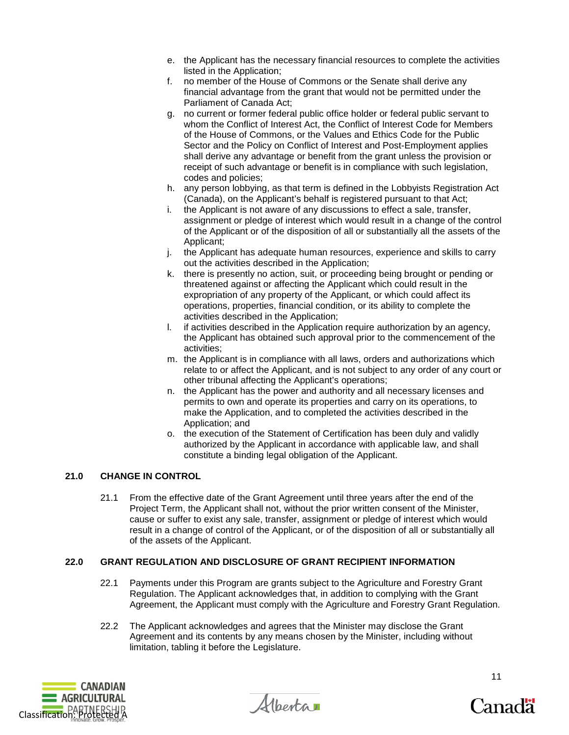- e. the Applicant has the necessary financial resources to complete the activities listed in the Application;
- f. no member of the House of Commons or the Senate shall derive any financial advantage from the grant that would not be permitted under the Parliament of Canada Act;
- g. no current or former federal public office holder or federal public servant to whom the Conflict of Interest Act, the Conflict of Interest Code for Members of the House of Commons, or the Values and Ethics Code for the Public Sector and the Policy on Conflict of Interest and Post-Employment applies shall derive any advantage or benefit from the grant unless the provision or receipt of such advantage or benefit is in compliance with such legislation, codes and policies;
- h. any person lobbying, as that term is defined in the Lobbyists Registration Act (Canada), on the Applicant's behalf is registered pursuant to that Act;
- i. the Applicant is not aware of any discussions to effect a sale, transfer, assignment or pledge of interest which would result in a change of the control of the Applicant or of the disposition of all or substantially all the assets of the Applicant;
- j. the Applicant has adequate human resources, experience and skills to carry out the activities described in the Application;
- k. there is presently no action, suit, or proceeding being brought or pending or threatened against or affecting the Applicant which could result in the expropriation of any property of the Applicant, or which could affect its operations, properties, financial condition, or its ability to complete the activities described in the Application;
- l. if activities described in the Application require authorization by an agency, the Applicant has obtained such approval prior to the commencement of the activities;
- m. the Applicant is in compliance with all laws, orders and authorizations which relate to or affect the Applicant, and is not subject to any order of any court or other tribunal affecting the Applicant's operations;
- n. the Applicant has the power and authority and all necessary licenses and permits to own and operate its properties and carry on its operations, to make the Application, and to completed the activities described in the Application; and
- o. the execution of the Statement of Certification has been duly and validly authorized by the Applicant in accordance with applicable law, and shall constitute a binding legal obligation of the Applicant.

# **21.0 CHANGE IN CONTROL**

21.1 From the effective date of the Grant Agreement until three years after the end of the Project Term, the Applicant shall not, without the prior written consent of the Minister, cause or suffer to exist any sale, transfer, assignment or pledge of interest which would result in a change of control of the Applicant, or of the disposition of all or substantially all of the assets of the Applicant.

# **22.0 GRANT REGULATION AND DISCLOSURE OF GRANT RECIPIENT INFORMATION**

- 22.1 Payments under this Program are grants subject to the Agriculture and Forestry Grant Regulation. The Applicant acknowledges that, in addition to complying with the Grant Agreement, the Applicant must comply with the Agriculture and Forestry Grant Regulation.
- 22.2 The Applicant acknowledges and agrees that the Minister may disclose the Grant Agreement and its contents by any means chosen by the Minister, including without limitation, tabling it before the Legislature.